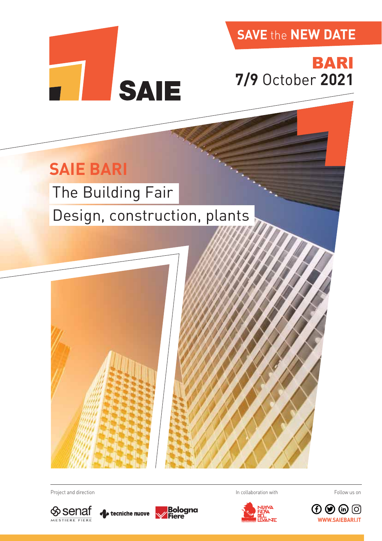**SAVE** the **NEW DATE**

# BARI **7/9** October **2021**

## **SAIE BARI**

# The Building Fair

# Design, construction, plants

**SAIE** 





Project and direction **In collaboration with In collaboration with**  $\Box$  In collaboration with







Follow us on

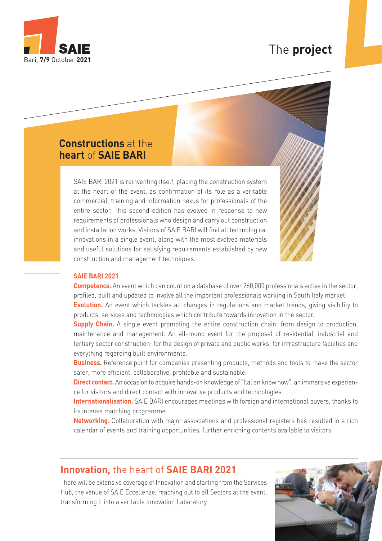

### The **project**

### **Constructions** at the **heart** of **SAIE BARI**

SAIE BARI 2021 is reinventing itself, placing the construction system at the heart of the event, as confirmation of its role as a veritable commercial, training and information nexus for professionals of the entire sector. This second edition has evolved in response to new requirements of professionals who design and carry out construction and installation works. Visitors of SAIE BARI will find all technological innovations in a single event, along with the most evolved materials and useful solutions for satisfying requirements established by new construction and management techniques.



#### **SAIE BARI 2021**

**Competence.** An event which can count on a database of over 260,000 professionals active in the sector, profiled, built and updated to involve all the important professionals working in South Italy market.

**Evolution.** An event which tackles all changes in regulations and market trends, giving visibility to products, services and technologies which contribute towards innovation in the sector.

**Supply Chain.** A single event promoting the entire construction chain: from design to production, maintenance and management. An all-round event for the proposal of residential, industrial and tertiary sector construction; for the design of private and public works; for infrastructure facilities and everything regarding built environments.

**Business.** Reference point for companies presenting products, methods and tools to make the sector safer, more efficient, collaborative, profitable and sustainable.

**Direct contact.** An occasion to acquire hands-on knowledge of "Italian know how", an immersive experience for visitors and direct contact with innovative products and technologies.

**Internationalisation.** SAIE BARI encourages meetings with foreign and international buyers, thanks to its intense matching programme.

**Networking.** Collaboration with major associations and professional registers has resulted in a rich calendar of events and training opportunities, further enriching contents available to visitors.

### **Innovation,** the heart of **SAIE BARI 2021**

There will be extensive coverage of Innovation and starting from the Services Hub, the venue of SAIE Eccellenze, reaching out to all Sectors at the event, transforming it into a veritable Innovation Laboratory.

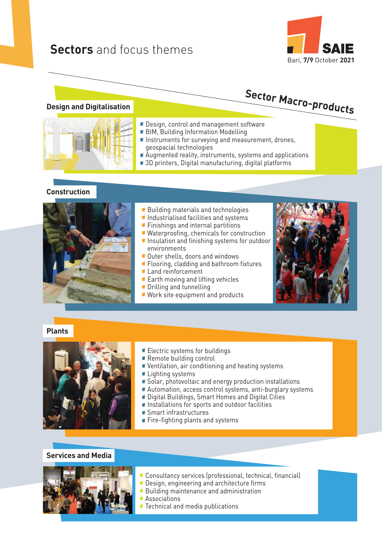### **Sectors** and focus themes





# **Sector Macro-products**

#### **Design and Digitalisation**

- Design, control and management software
- **BIM, Building Information Modelling**
- Instruments for surveying and measurement, drones, geospacial technologies
- Augmented reality, instruments, systems and applications
- 3D printers, Digital manufacturing, digital platforms

### **Construction**



- **Building materials and technologies**
- Industrialised facilities and systems
	- **Finishings and internal partitions**
- Waterproofing, chemicals for construction **Insulation and finishing systems for outdoor** environments
- Outer shells, doors and windows
- **Flooring, cladding and bathroom fixtures**
- Land reinforcement
- Earth moving and lifting vehicles
- **Drilling and tunnelling**
- **Work site equipment and products**



### **Plants**



- Electric systems for buildings
- Remote building control
- Ventilation, air conditioning and heating systems
- **Lighting systems**
- Solar, photovoltaic and energy production installations
- Automation, access control systems, anti-burglary systems
- **Digital Buildings, Smart Homes and Digital Cities**
- **Installations for sports and outdoor facilities**
- **Smart infrastructures**
- **Fire-fighting plants and systems**

### **Services and Media**



- Consultancy services (professional, technical, financial)
- **Design, engineering and architecture firms**
- **Building maintenance and administration**
- **Associations**
- Technical and media publications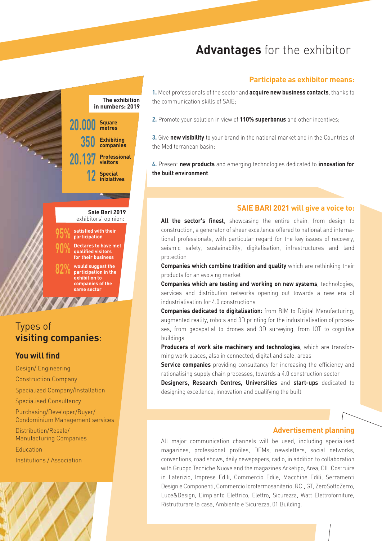### **Advantages** for the exhibitor

### **Participate as exhibitor means:**

**1.** Meet professionals of the sector and **acquire new business contacts**, thanks to the communication skills of SAIE;

**2.** Promote your solution in view of **110% superbonus** and other incentives;

**3.** Give **new visibility** to your brand in the national market and in the Countries of the Mediterranean basin;

**4.** Present **new products** and emerging technologies dedicated to **innovation for the built environment**.

### **SAIE BARI 2021 will give a voice to:**

**All the sector's finest**, showcasing the entire chain, from design to construction, a generator of sheer excellence offered to national and international professionals, with particular regard for the key issues of recovery, seismic safety, sustainability, digitalisation, infrastructures and land protection

**Companies which combine tradition and quality** which are rethinking their products for an evolving market

**Companies which are testing and working on new systems**, technologies, services and distribution networks opening out towards a new era of industrialisation for 4.0 constructions

**Companies dedicated to digitalisation:** from BIM to Digital Manufacturing, augmented reality, robots and 3D printing for the industrialisation of processes, from geospatial to drones and 3D surveying, from IOT to cognitive buildings

**Producers of work site machinery and technologies**, which are transforming work places, also in connected, digital and safe, areas

**Service companies** providing consultancy for increasing the efficiency and rationalising supply chain processes, towards a 4.0 construction sector

**Designers, Research Centres, Universities** and **start-ups** dedicated to designing excellence, innovation and qualifying the built

#### **Advertisement planning**

All major communication channels will be used, including specialised magazines, professional profiles, DEMs, newsletters, social networks, conventions, road shows, daily newspapers, radio, in addition to collaboration with Gruppo Tecniche Nuove and the magazines Arketipo, Area, CIL Costruire in Laterizio, Imprese Edili, Commercio Edile, Macchine Edili, Serramenti Design e Componenti, Commercio Idrotermosanitario, RCI, GT, ZeroSottoZerro, Luce&Design, L'impianto Elettrico, Elettro, Sicurezza, Watt Elettroforniture, Ristrutturare la casa, Ambiente e Sicurezza, 01 Building.



### Types of **visiting companies**:

### **You will find**

Design/ Engineering Construction Company Specialized Company/Installation Specialised Consultancy Purchasing/Developer/Buyer/ Condominium Management services

Distribution/Resale/ Manufacturing Companies Education

Institutions / Association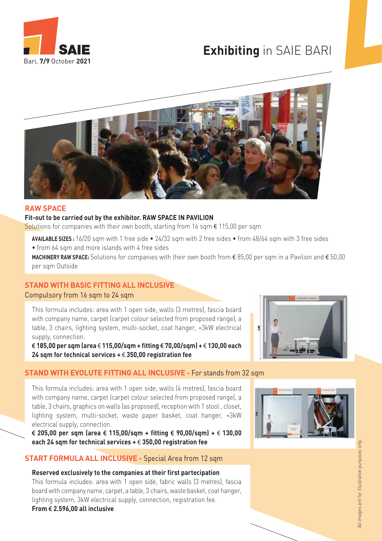

### **Exhibiting** in SAIE BARI



### **RAW SPACE**

#### **Fit-out to be carried out by the exhibitor. RAW SPACE IN PAVILION**

Solutions for companies with their own booth, starting from 16 sqm  $\epsilon$  115,00 per sqm

**AVAILABLE SIZES :** 16/20 sqm with 1 free side • 24/32 sqm with 2 free sides • from 48/64 sqm with 3 free sides

• from 64 sqm and more islands with 4 free sides

**MACHINERY RAW SPACE:** Solutions for companies with their own booth from € 85,00 per sqm in a Pavilion and € 50,00 per sqm Outside

### **STAND WITH BASIC FITTING ALL INCLUSIVE** Compulsory from 16 sqm to 24 sqm

This formula includes: area with 1 open side, walls (3 metres), fascia board with company name, carpet (carpet colour selected from proposed range), a table, 3 chairs, lighting system, multi-socket, coat hanger, +3kW electrical supply, connection.

**€ 185,00 per sqm (area** € **115,00/sqm + fitting € 70,00/sqm) +** € **130,00 each 24 sqm for technical services +** € **350,00 registration fee**

### **STAND WITH EVOLUTE FITTING ALL INCLUSIVE** - For stands from 32 sqm

This formula includes: area with 1 open side, walls (4 metres), fascia board with company name, carpet (carpet colour selected from proposed range), a table, 3 chairs, graphics on walls (as proposed), reception with 1 stool , closet, lighting system, multi-socket, waste paper basket, coat hanger, +3kW electrical supply, connection.

**€ 205,00 per sqm (area € 115,00/sqm + fitting € 90,00/sqm) +** € **130,00 each 24 sqm for technical services +** € **350,00 registration fee**

### **START FORMULA ALL INCLUSIVE** - Special Area from 12 sqm

**Reserved exclusively to the companies at their first partecipation** This formula includes: area with 1 open side, fabric walls (3 metres), fascia board with company name, carpet, a table, 3 chairs, waste basket, coat hanger, lighting system, 3kW electrical supply, connection, registration fee. **From € 2.596,00 all inclusive**